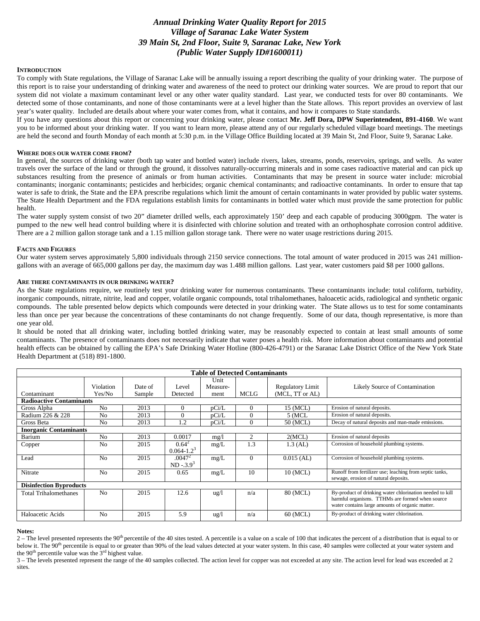# *Annual Drinking Water Quality Report for 2015 Village of Saranac Lake Water System 39 Main St, 2nd Floor, Suite 9, Saranac Lake, New York (Public Water Supply ID#1600011)*

#### **INTRODUCTION**

To comply with State regulations, the Village of Saranac Lake will be annually issuing a report describing the quality of your drinking water. The purpose of this report is to raise your understanding of drinking water and awareness of the need to protect our drinking water sources. We are proud to report that our system did not violate a maximum contaminant level or any other water quality standard. Last year, we conducted tests for over 80 contaminants. We detected some of those contaminants, and none of those contaminants were at a level higher than the State allows. This report provides an overview of last year's water quality. Included are details about where your water comes from, what it contains, and how it compares to State standards.

If you have any questions about this report or concerning your drinking water, please contact **Mr. Jeff Dora, DPW Superintendent, 891-4160**. We want you to be informed about your drinking water. If you want to learn more, please attend any of our regularly scheduled village board meetings. The meetings are held the second and fourth Monday of each month at 5:30 p.m. in the Village Office Building located at 39 Main St, 2nd Floor, Suite 9, Saranac Lake.

#### **WHERE DOES OUR WATER COME FROM?**

In general, the sources of drinking water (both tap water and bottled water) include rivers, lakes, streams, ponds, reservoirs, springs, and wells. As water travels over the surface of the land or through the ground, it dissolves naturally-occurring minerals and in some cases radioactive material and can pick up substances resulting from the presence of animals or from human activities. Contaminants that may be present in source water include: microbial contaminants; inorganic contaminants; pesticides and herbicides; organic chemical contaminants; and radioactive contaminants. In order to ensure that tap water is safe to drink, the State and the EPA prescribe regulations which limit the amount of certain contaminants in water provided by public water systems. The State Health Department and the FDA regulations establish limits for contaminants in bottled water which must provide the same protection for public health.

The water supply system consist of two 20" diameter drilled wells, each approximately 150' deep and each capable of producing 3000gpm. The water is pumped to the new well head control building where it is disinfected with chlorine solution and treated with an orthophosphate corrosion control additive. There are a 2 million gallon storage tank and a 1.15 million gallon storage tank. There were no water usage restrictions during 2015.

### **FACTS AND FIGURES**

Our water system serves approximately 5,800 individuals through 2150 service connections. The total amount of water produced in 2015 was 241 milliongallons with an average of 665,000 gallons per day, the maximum day was 1.488 million gallons. Last year, water customers paid \$8 per 1000 gallons.

# **ARE THERE CONTAMINANTS IN OUR DRINKING WATER?**

As the State regulations require, we routinely test your drinking water for numerous contaminants. These contaminants include: total coliform, turbidity, inorganic compounds, nitrate, nitrite, lead and copper, volatile organic compounds, total trihalomethanes, haloacetic acids, radiological and synthetic organic compounds. The table presented below depicts which compounds were detected in your drinking water. The State allows us to test for some contaminants less than once per year because the concentrations of these contaminants do not change frequently. Some of our data, though representative, is more than one year old.

It should be noted that all drinking water, including bottled drinking water, may be reasonably expected to contain at least small amounts of some contaminants. The presence of contaminants does not necessarily indicate that water poses a health risk. More information about contaminants and potential health effects can be obtained by calling the EPA's Safe Drinking Water Hotline (800-426-4791) or the Saranac Lake District Office of the New York State Health Department at (518) 891-1800.

| <b>Table of Detected Contaminants</b> |                     |                   |                             |                          |             |                                            |                                                                                                                                                                |
|---------------------------------------|---------------------|-------------------|-----------------------------|--------------------------|-------------|--------------------------------------------|----------------------------------------------------------------------------------------------------------------------------------------------------------------|
| Contaminant                           | Violation<br>Yes/No | Date of<br>Sample | Level<br>Detected           | Unit<br>Measure-<br>ment | <b>MCLG</b> | <b>Regulatory Limit</b><br>(MCL, TT or AL) | Likely Source of Contamination                                                                                                                                 |
| <b>Radioactive Contaminants</b>       |                     |                   |                             |                          |             |                                            |                                                                                                                                                                |
| Gross Alpha                           | N <sub>o</sub>      | 2013              | $\Omega$                    | pCi/L                    | $\Omega$    | 15 (MCL)                                   | Erosion of natural deposits.                                                                                                                                   |
| Radium 226 & 228                      | N <sub>0</sub>      | 2013              |                             | pCi/L                    | $\Omega$    | $5$ (MCL                                   | Erosion of natural deposits.                                                                                                                                   |
| Gross Beta                            | N <sub>0</sub>      | 2013              | 1.2                         | pCi/L                    | $\Omega$    | 50 (MCL)                                   | Decay of natural deposits and man-made emissions.                                                                                                              |
| <b>Inorganic Contaminants</b>         |                     |                   |                             |                          |             |                                            |                                                                                                                                                                |
| Barium                                | N <sub>0</sub>      | 2013              | 0.0017                      | mg/1                     | 2           | 2(MCL)                                     | Erosion of natural deposits                                                                                                                                    |
| Copper                                | N <sub>0</sub>      | 2015              | $0.64^2$<br>$0.064 - 1.2^3$ | mg/L                     | 1.3         | $1.3$ (AL)                                 | Corrosion of household plumbing systems.                                                                                                                       |
| Lead                                  | N <sub>o</sub>      | 2015              | $.0047^2$<br>$ND - 3.93$    | mg/L                     | $\Omega$    | $0.015$ (AL)                               | Corrosion of household plumbing systems.                                                                                                                       |
| Nitrate                               | No                  | 2015              | 0.65                        | mg/L                     | 10          | 10 (MCL)                                   | Runoff from fertilizer use; leaching from septic tanks,<br>sewage, erosion of natural deposits.                                                                |
| <b>Disinfection Byproducts</b>        |                     |                   |                             |                          |             |                                            |                                                                                                                                                                |
| <b>Total Trihalomethanes</b>          | N <sub>0</sub>      | 2015              | 12.6                        | $\frac{u g}{l}$          | n/a         | 80 (MCL)                                   | By-product of drinking water chlorination needed to kill<br>harmful organisms. TTHMs are formed when source<br>water contains large amounts of organic matter. |
| Haloacetic Acids                      | No                  | 2015              | 5.9                         | ug/l                     | n/a         | 60 (MCL)                                   | By-product of drinking water chlorination.                                                                                                                     |

#### **Notes:**

 $2 -$ The level presented represents the 90<sup>th</sup> percentile of the 40 sites tested. A percentile is a value on a scale of 100 that indicates the percent of a distribution that is equal to or below it. The 90<sup>th</sup> percentile is equal to or greater than 90% of the lead values detected at your water system. In this case, 40 samples were collected at your water system and the 90<sup>th</sup> percentile value was the  $3<sup>rd</sup>$  highest value.

3 – The levels presented represent the range of the 40 samples collected. The action level for copper was not exceeded at any site. The action level for lead was exceeded at 2 sites.